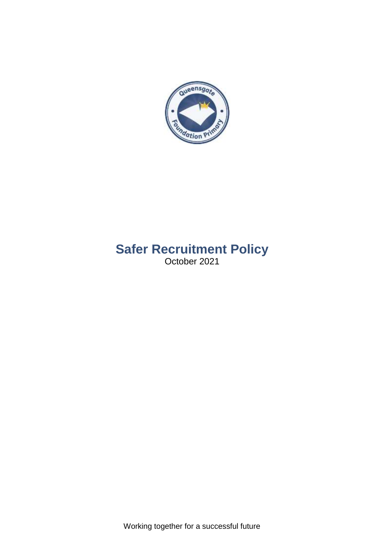

# **Safer Recruitment Policy** October 2021

Working together for a successful future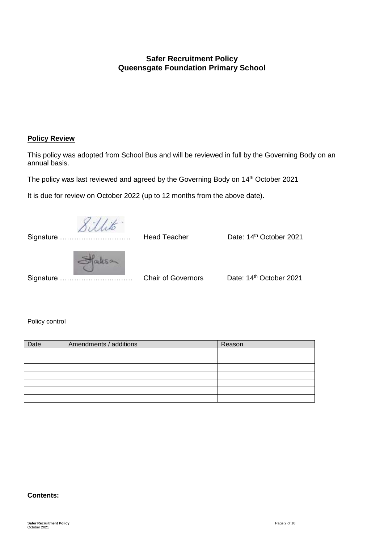# **Safer Recruitment Policy Queensgate Foundation Primary School**

# **Policy Review**

This policy was adopted from School Bus and will be reviewed in full by the Governing Body on an annual basis.

The policy was last reviewed and agreed by the Governing Body on 14<sup>th</sup> October 2021

It is due for review on October 2022 (up to 12 months from the above date).

| Signature | <b>Head Teacher</b>       | Date: 14 <sup>th</sup> October 2021 |
|-----------|---------------------------|-------------------------------------|
| Signature | <b>Chair of Governors</b> | Date: 14th October 2021             |

Policy control

| Date | Amendments / additions | Reason |
|------|------------------------|--------|
|      |                        |        |
|      |                        |        |
|      |                        |        |
|      |                        |        |
|      |                        |        |
|      |                        |        |
|      |                        |        |

#### **Contents:**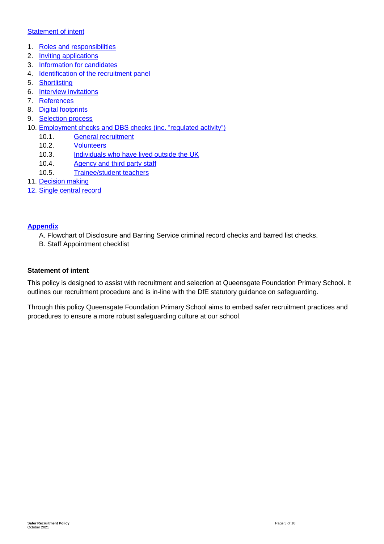# **[Statement of intent](#page-2-0)**

- 1. [Roles and responsibilities](#page-3-0)
- 2. [Inviting applications](#page-3-1)
- 3. [Information for candidates](#page-3-2)
- 4. [Identification of the recruitment panel](#page-3-3)
- 5. [Shortlisting](#page-4-0)
- 6. [Interview invitations](#page-4-1)
- 7. [References](#page-4-2)
- 8. [Digital footprints](#page-4-3)
- 9. [Selection process](#page-4-4)
- 10. [Employment checks and DBS checks \(inc. "regulated activity"\)](#page-5-0)
	- 10.1. **[General recruitment](#page-5-1)**
	- 10.2. [Volunteers](#page-6-0)
	- 10.3. [Individuals who have lived outside the UK](#page-6-1)
	- 10.4. [Agency and third party staff](#page-7-0)
	- 10.5. [Trainee/student teachers](#page-7-1)
- 11. [Decision making](#page-7-2)
- 12. [Single central record](#page-7-3)

# **Appendix**

- A. Flowchart of Disclosure and Barring Service criminal record checks and barred list checks.
- B. Staff Appointment checklist

#### <span id="page-2-0"></span>**Statement of intent**

This policy is designed to assist with recruitment and selection at Queensgate Foundation Primary School. It outlines our recruitment procedure and is in-line with the DfE statutory guidance on safeguarding.

Through this policy Queensgate Foundation Primary School aims to embed safer recruitment practices and procedures to ensure a more robust safeguarding culture at our school.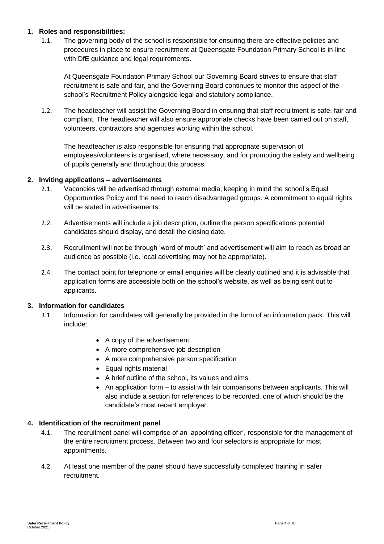# <span id="page-3-0"></span>**1. Roles and responsibilities:**

1.1. The governing body of the school is responsible for ensuring there are effective policies and procedures in place to ensure recruitment at Queensgate Foundation Primary School is in-line with DfE guidance and legal requirements.

At Queensgate Foundation Primary School our Governing Board strives to ensure that staff recruitment is safe and fair, and the Governing Board continues to monitor this aspect of the school's Recruitment Policy alongside legal and statutory compliance.

1.2. The headteacher will assist the Governing Board in ensuring that staff recruitment is safe, fair and compliant. The headteacher will also ensure appropriate checks have been carried out on staff, volunteers, contractors and agencies working within the school.

The headteacher is also responsible for ensuring that appropriate supervision of employees/volunteers is organised, where necessary, and for promoting the safety and wellbeing of pupils generally and throughout this process.

# <span id="page-3-1"></span>**2. Inviting applications – advertisements**

- 2.1. Vacancies will be advertised through external media, keeping in mind the school's Equal Opportunities Policy and the need to reach disadvantaged groups. A commitment to equal rights will be stated in advertisements.
- 2.2. Advertisements will include a job description, outline the person specifications potential candidates should display, and detail the closing date.
- 2.3. Recruitment will not be through 'word of mouth' and advertisement will aim to reach as broad an audience as possible (i.e. local advertising may not be appropriate).
- 2.4. The contact point for telephone or email enquiries will be clearly outlined and it is advisable that application forms are accessible both on the school's website, as well as being sent out to applicants.

#### <span id="page-3-2"></span>**3. Information for candidates**

- 3.1. Information for candidates will generally be provided in the form of an information pack. This will include:
	- A copy of the advertisement
	- A more comprehensive job description
	- A more comprehensive person specification
	- Equal rights material
	- A brief outline of the school, its values and aims.
	- An application form to assist with fair comparisons between applicants. This will also include a section for references to be recorded, one of which should be the candidate's most recent employer.

#### <span id="page-3-3"></span>**4. Identification of the recruitment panel**

- 4.1. The recruitment panel will comprise of an 'appointing officer', responsible for the management of the entire recruitment process. Between two and four selectors is appropriate for most appointments.
- 4.2. At least one member of the panel should have successfully completed training in safer recruitment.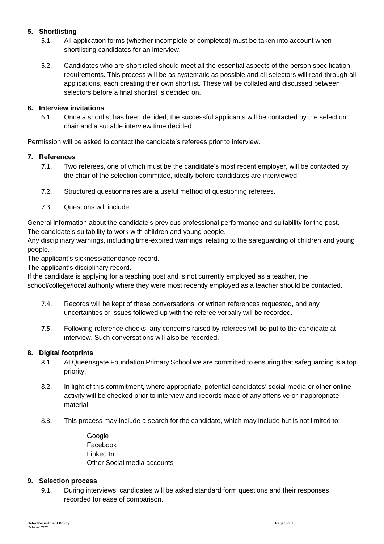# <span id="page-4-0"></span>**5. Shortlisting**

- 5.1. All application forms (whether incomplete or completed) must be taken into account when shortlisting candidates for an interview.
- 5.2. Candidates who are shortlisted should meet all the essential aspects of the person specification requirements. This process will be as systematic as possible and all selectors will read through all applications, each creating their own shortlist. These will be collated and discussed between selectors before a final shortlist is decided on.

# <span id="page-4-1"></span>**6. Interview invitations**

6.1. Once a shortlist has been decided, the successful applicants will be contacted by the selection chair and a suitable interview time decided.

Permission will be asked to contact the candidate's referees prior to interview.

# <span id="page-4-2"></span>**7. References**

- 7.1. Two referees, one of which must be the candidate's most recent employer, will be contacted by the chair of the selection committee, ideally before candidates are interviewed.
- 7.2. Structured questionnaires are a useful method of questioning referees.
- 7.3. Questions will include:

General information about the candidate's previous professional performance and suitability for the post. The candidate's suitability to work with children and young people.

Any disciplinary warnings, including time-expired warnings, relating to the safeguarding of children and young people.

The applicant's sickness/attendance record.

The applicant's disciplinary record.

If the candidate is applying for a teaching post and is not currently employed as a teacher, the school/college/local authority where they were most recently employed as a teacher should be contacted.

- 7.4. Records will be kept of these conversations, or written references requested, and any uncertainties or issues followed up with the referee verbally will be recorded.
- 7.5. Following reference checks, any concerns raised by referees will be put to the candidate at interview. Such conversations will also be recorded.

#### <span id="page-4-3"></span>**8. Digital footprints**

- 8.1. At Queensgate Foundation Primary School we are committed to ensuring that safeguarding is a top priority.
- 8.2. In light of this commitment, where appropriate, potential candidates' social media or other online activity will be checked prior to interview and records made of any offensive or inappropriate material.
- 8.3. This process may include a search for the candidate, which may include but is not limited to:

Google Facebook Linked In Other Social media accounts

#### <span id="page-4-4"></span>**9. Selection process**

9.1. During interviews, candidates will be asked standard form questions and their responses recorded for ease of comparison.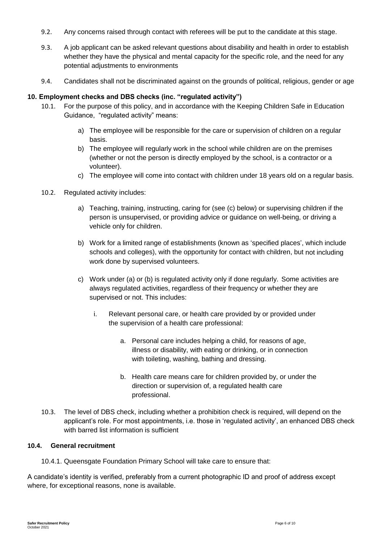- 9.2. Any concerns raised through contact with referees will be put to the candidate at this stage.
- 9.3. A job applicant can be asked relevant questions about disability and health in order to establish whether they have the physical and mental capacity for the specific role, and the need for any potential adjustments to environments
- 9.4. Candidates shall not be discriminated against on the grounds of political, religious, gender or age

# <span id="page-5-0"></span>**10. Employment checks and DBS checks (inc. "regulated activity")**

- 10.1. For the purpose of this policy, and in accordance with the Keeping Children Safe in Education Guidance, "regulated activity" means:
	- a) The employee will be responsible for the care or supervision of children on a regular basis.
	- b) The employee will regularly work in the school while children are on the premises (whether or not the person is directly employed by the school, is a contractor or a volunteer).
	- c) The employee will come into contact with children under 18 years old on a regular basis.
- 10.2. Regulated activity includes:
	- a) Teaching, training, instructing, caring for (see (c) below) or supervising children if the person is unsupervised, or providing advice or guidance on well-being, or driving a vehicle only for children.
	- b) Work for a limited range of establishments (known as 'specified places', which include schools and colleges), with the opportunity for contact with children, but not including work done by supervised volunteers.
	- c) Work under (a) or (b) is regulated activity only if done regularly. Some activities are always regulated activities, regardless of their frequency or whether they are supervised or not. This includes:
		- i. Relevant personal care, or health care provided by or provided under the supervision of a health care professional:
			- a. Personal care includes helping a child, for reasons of age, illness or disability, with eating or drinking, or in connection with toileting, washing, bathing and dressing.
			- b. Health care means care for children provided by, or under the direction or supervision of, a regulated health care professional.
- <span id="page-5-1"></span>10.3. The level of DBS check, including whether a prohibition check is required, will depend on the applicant's role. For most appointments, i.e. those in 'regulated activity', an enhanced DBS check with barred list information is sufficient

#### **10.4. General recruitment**

10.4.1. Queensgate Foundation Primary School will take care to ensure that:

A candidate's identity is verified, preferably from a current photographic ID and proof of address except where, for exceptional reasons, none is available.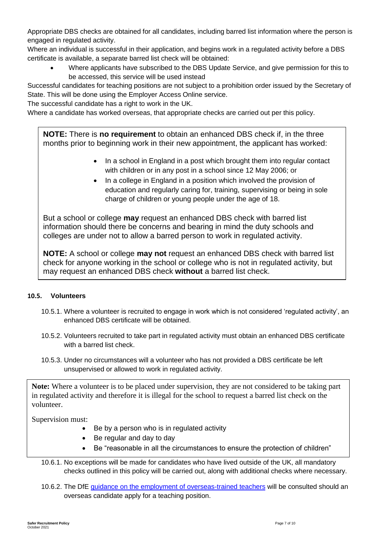Appropriate DBS checks are obtained for all candidates, including barred list information where the person is engaged in regulated activity.

Where an individual is successful in their application, and begins work in a regulated activity before a DBS certificate is available, a separate barred list check will be obtained:

 Where applicants have subscribed to the DBS Update Service, and give permission for this to be accessed, this service will be used instead

Successful candidates for teaching positions are not subject to a prohibition order issued by the Secretary of State. This will be done using the Employer Access Online service.

The successful candidate has a right to work in the UK.

Where a candidate has worked overseas, that appropriate checks are carried out per this policy.

**NOTE:** There is **no requirement** to obtain an enhanced DBS check if, in the three months prior to beginning work in their new appointment, the applicant has worked:

- In a school in England in a post which brought them into regular contact with children or in any post in a school since 12 May 2006; or
- In a college in England in a position which involved the provision of education and regularly caring for, training, supervising or being in sole charge of children or young people under the age of 18.

But a school or college **may** request an enhanced DBS check with barred list information should there be concerns and bearing in mind the duty schools and colleges are under not to allow a barred person to work in regulated activity.

**NOTE:** A school or college **may not** request an enhanced DBS check with barred list check for anyone working in the school or college who is not in regulated activity, but may request an enhanced DBS check **without** a barred list check.

# <span id="page-6-0"></span>**10.5. Volunteers**

- 10.5.1. Where a volunteer is recruited to engage in work which is not considered 'regulated activity', an enhanced DBS certificate will be obtained.
- 10.5.2. Volunteers recruited to take part in regulated activity must obtain an enhanced DBS certificate with a barred list check.
- 10.5.3. Under no circumstances will a volunteer who has not provided a DBS certificate be left unsupervised or allowed to work in regulated activity.

**Note:** Where a volunteer is to be placed under supervision, they are not considered to be taking part in regulated activity and therefore it is illegal for the school to request a barred list check on the volunteer.

Supervision must:

- Be by a person who is in regulated activity
- Be regular and day to day
- <span id="page-6-1"></span>• Be "reasonable in all the circumstances to ensure the protection of children"

10.6.1. No exceptions will be made for candidates who have lived outside of the UK, all mandatory checks outlined in this policy will be carried out, along with additional checks where necessary.

10.6.2. The DfE [guidance on the employment of overseas-trained teachers](https://www.gov.uk/government/publications/employing-overseas-trained-teachers-from-outside-the-eea) will be consulted should an overseas candidate apply for a teaching position.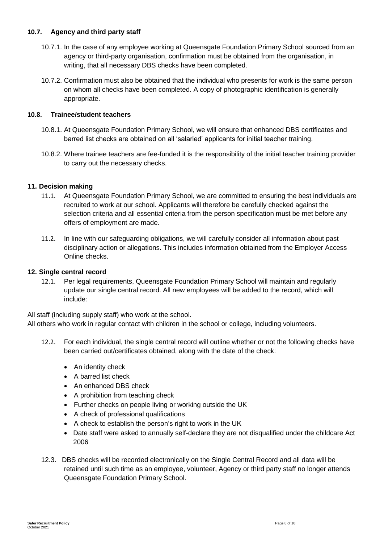# <span id="page-7-0"></span>**10.7. Agency and third party staff**

- 10.7.1. In the case of any employee working at Queensgate Foundation Primary School sourced from an agency or third-party organisation, confirmation must be obtained from the organisation, in writing, that all necessary DBS checks have been completed.
- 10.7.2. Confirmation must also be obtained that the individual who presents for work is the same person on whom all checks have been completed. A copy of photographic identification is generally appropriate.

#### <span id="page-7-1"></span>**10.8. Trainee/student teachers**

- 10.8.1. At Queensgate Foundation Primary School, we will ensure that enhanced DBS certificates and barred list checks are obtained on all 'salaried' applicants for initial teacher training.
- 10.8.2. Where trainee teachers are fee-funded it is the responsibility of the initial teacher training provider to carry out the necessary checks.

# <span id="page-7-2"></span>**11. Decision making**

- 11.1. At Queensgate Foundation Primary School, we are committed to ensuring the best individuals are recruited to work at our school. Applicants will therefore be carefully checked against the selection criteria and all essential criteria from the person specification must be met before any offers of employment are made.
- 11.2. In line with our safeguarding obligations, we will carefully consider all information about past disciplinary action or allegations. This includes information obtained from the Employer Access Online checks.

#### <span id="page-7-3"></span>**12. Single central record**

12.1. Per legal requirements, Queensgate Foundation Primary School will maintain and regularly update our single central record. All new employees will be added to the record, which will include:

All staff (including supply staff) who work at the school.

All others who work in regular contact with children in the school or college, including volunteers.

- 12.2. For each individual, the single central record will outline whether or not the following checks have been carried out/certificates obtained, along with the date of the check:
	- An identity check
	- A barred list check
	- An enhanced DBS check
	- A prohibition from teaching check
	- Further checks on people living or working outside the UK
	- A check of professional qualifications
	- A check to establish the person's right to work in the UK
	- Date staff were asked to annually self-declare they are not disqualified under the childcare Act 2006
- 12.3. DBS checks will be recorded electronically on the Single Central Record and all data will be retained until such time as an employee, volunteer, Agency or third party staff no longer attends Queensgate Foundation Primary School.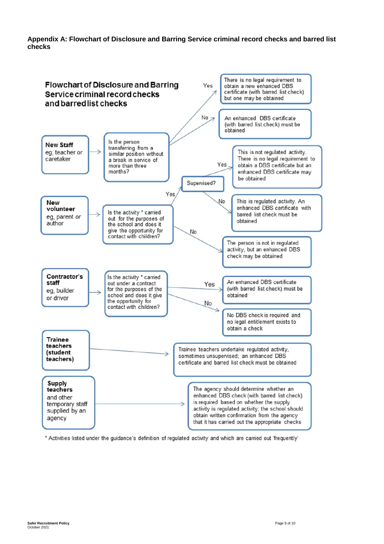#### **Appendix A: Flowchart of Disclosure and Barring Service criminal record checks and barred list checks**



\* Activities listed under the guidance's definition of regulated activity and which are carried out 'frequently'